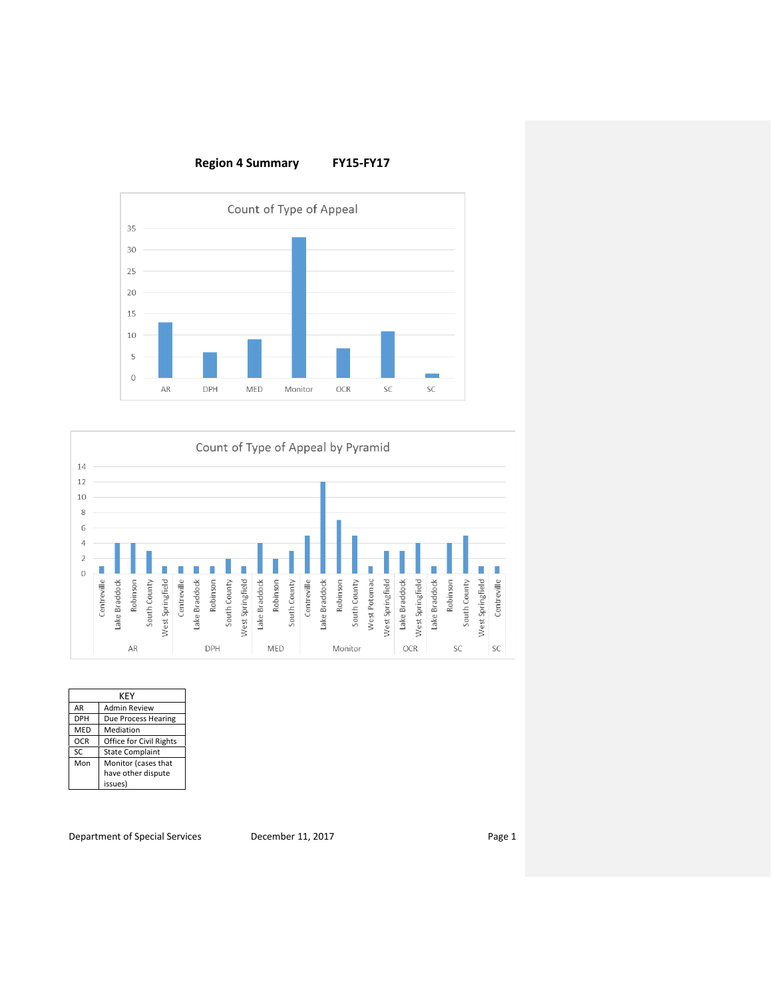



|            | KEY                     |  |  |  |  |  |
|------------|-------------------------|--|--|--|--|--|
| AR         | <b>Admin Review</b>     |  |  |  |  |  |
| DPH        | Due Process Hearing     |  |  |  |  |  |
| MED        | Mediation               |  |  |  |  |  |
| <b>OCR</b> | Office for Civil Rights |  |  |  |  |  |
| SC         | <b>State Complaint</b>  |  |  |  |  |  |
| Mon        | Monitor (cases that     |  |  |  |  |  |
|            | have other dispute      |  |  |  |  |  |
|            | issues)                 |  |  |  |  |  |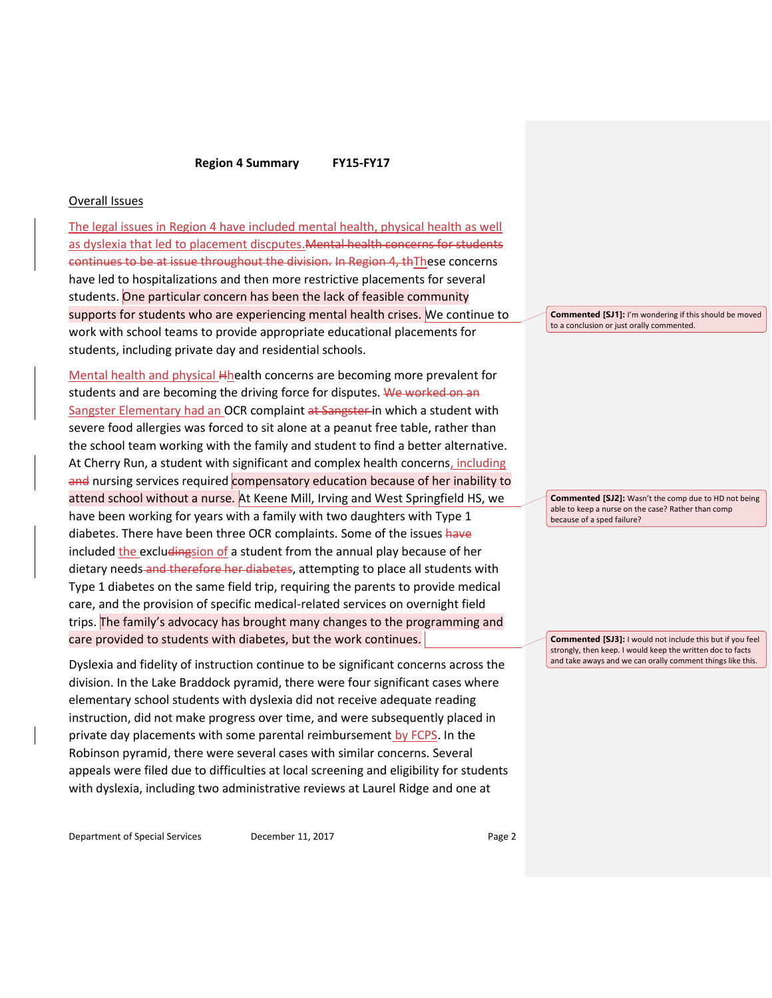#### Overall Issues

The legal issues in Region 4 have included mental health, physical health as well as dyslexia that led to placement discputes.Mental health concerns for students continues to be at issue throughout the division. In Region 4, thThese concerns have led to hospitalizations and then more restrictive placements for several students. One particular concern has been the lack of feasible community supports for students who are experiencing mental health crises. We continue to work with school teams to provide appropriate educational placements for students, including private day and residential schools.

Mental health and physical Hhealth concerns are becoming more prevalent for students and are becoming the driving force for disputes. We worked on an Sangster Elementary had an OCR complaint at Sangster in which a student with severe food allergies was forced to sit alone at a peanut free table, rather than the school team working with the family and student to find a better alternative. At Cherry Run, a student with significant and complex health concerns, including and nursing services required compensatory education because of her inability to attend school without a nurse. At Keene Mill, Irving and West Springfield HS, we have been working for years with a family with two daughters with Type 1 diabetes. There have been three OCR complaints. Some of the issues have included the excludingsion of a student from the annual play because of her dietary needs-and therefore her diabetes, attempting to place all students with Type 1 diabetes on the same field trip, requiring the parents to provide medical care, and the provision of specific medical-related services on overnight field trips. The family's advocacy has brought many changes to the programming and care provided to students with diabetes, but the work continues.

Dyslexia and fidelity of instruction continue to be significant concerns across the division. In the Lake Braddock pyramid, there were four significant cases where elementary school students with dyslexia did not receive adequate reading instruction, did not make progress over time, and were subsequently placed in private day placements with some parental reimbursement by FCPS. In the Robinson pyramid, there were several cases with similar concerns. Several appeals were filed due to difficulties at local screening and eligibility for students with dyslexia, including two administrative reviews at Laurel Ridge and one at

Department of Special Services December 11, 2017 Page 2

**Commented [SJ1]:** I'm wondering if this should be moved to a conclusion or just orally commented.

**Commented [SJ2]:** Wasn't the comp due to HD not being able to keep a nurse on the case? Rather than comp because of a sped failure?

**Commented [SJ3]:** I would not include this but if you feel strongly, then keep. I would keep the written doc to facts and take aways and we can orally comment things like this.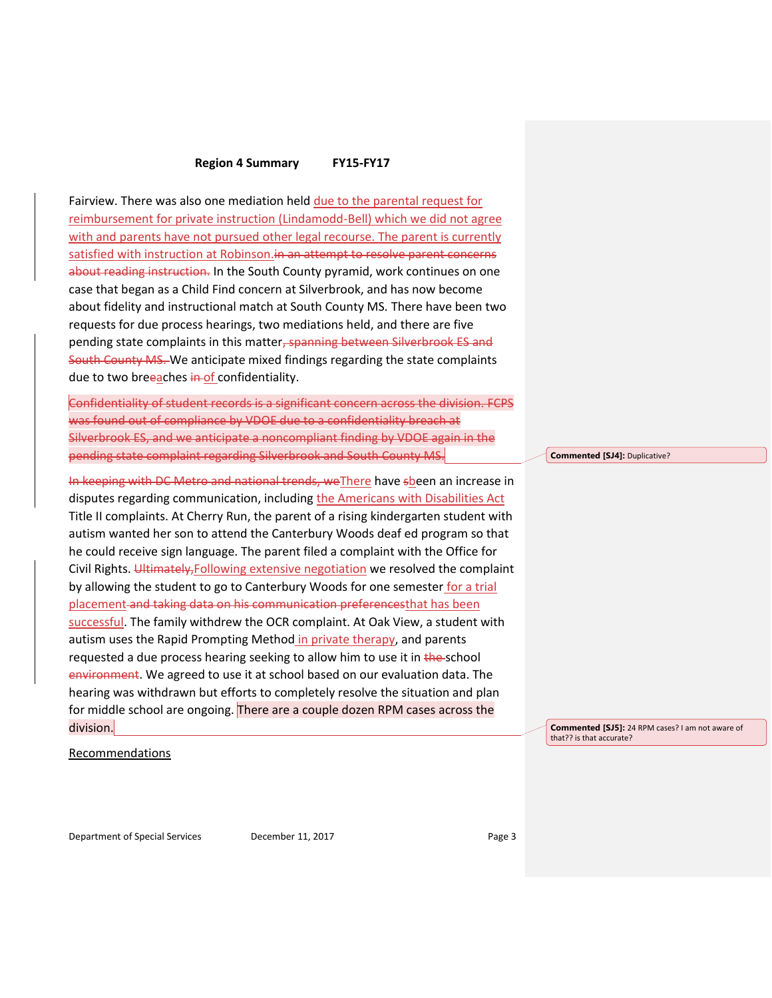Fairview. There was also one mediation held due to the parental request for reimbursement for private instruction (Lindamodd-Bell) which we did not agree with and parents have not pursued other legal recourse. The parent is currently satisfied with instruction at Robinson.in an attempt to resolve parent concerns about reading instruction. In the South County pyramid, work continues on one case that began as a Child Find concern at Silverbrook, and has now become about fidelity and instructional match at South County MS. There have been two requests for due process hearings, two mediations held, and there are five pending state complaints in this matter, spanning between Silverbrook ES and South County MS. We anticipate mixed findings regarding the state complaints due to two breeaches in of confidentiality.

Confidentiality of student records is a significant concern across the division. FCPS was found out of compliance by VDOE due to a confidentiality breach at Silverbrook ES, and we anticipate a noncompliant finding by VDOE again in the pending state complaint regarding Silverbrook and South County MS.

In keeping with DC Metro and national trends, weThere have sbeen an increase in disputes regarding communication, including the Americans with Disabilities Act Title II complaints. At Cherry Run, the parent of a rising kindergarten student with autism wanted her son to attend the Canterbury Woods deaf ed program so that he could receive sign language. The parent filed a complaint with the Office for Civil Rights. Ultimately, Following extensive negotiation we resolved the complaint by allowing the student to go to Canterbury Woods for one semester for a trial placement and taking data on his communication preferencesthat has been successful. The family withdrew the OCR complaint. At Oak View, a student with autism uses the Rapid Prompting Method in private therapy, and parents requested a due process hearing seeking to allow him to use it in the-school environment. We agreed to use it at school based on our evaluation data. The hearing was withdrawn but efforts to completely resolve the situation and plan for middle school are ongoing. There are a couple dozen RPM cases across the division.

**Commented [SJ4]:** Duplicative?

**Commented [SJ5]:** 24 RPM cases? I am not aware of that?? is that accurate?

Recommendations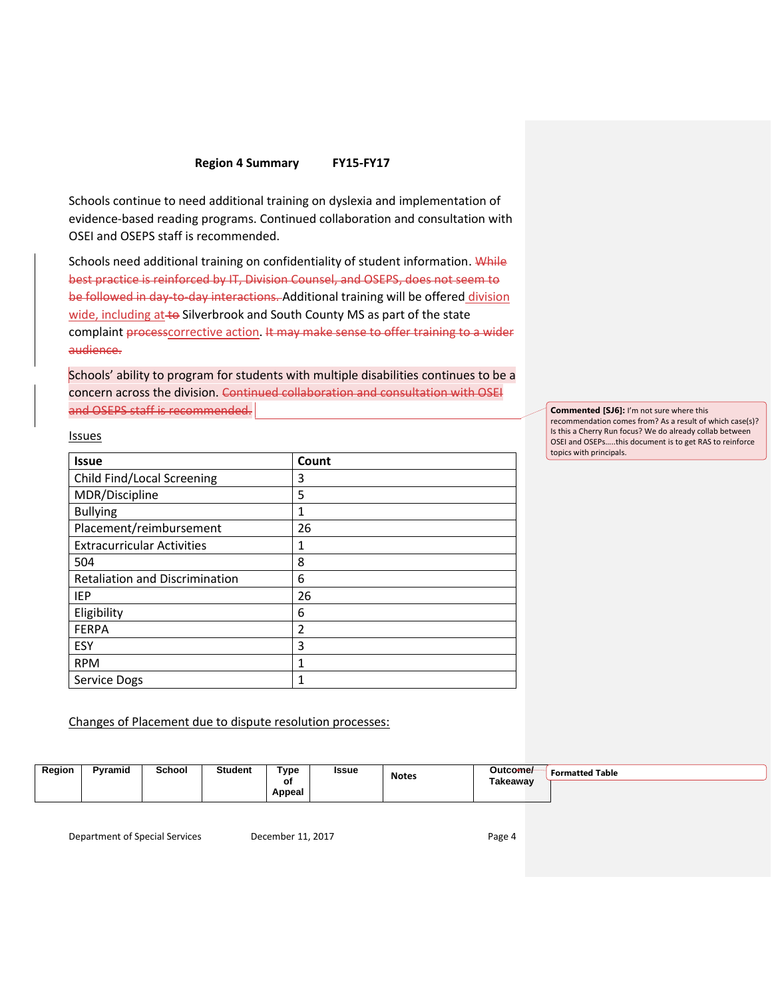Schools continue to need additional training on dyslexia and implementation of evidence-based reading programs. Continued collaboration and consultation with OSEI and OSEPS staff is recommended.

Schools need additional training on confidentiality of student information. While best practice is reinforced by IT, Division Counsel, and OSEPS, does not seem to be followed in day-to-day interactions. Additional training will be offered division wide, including at to Silverbrook and South County MS as part of the state complaint processcorrective action. It may make sense to offer training to a wider audience.

Schools' ability to program for students with multiple disabilities continues to be a concern across the division. Continued collaboration and consultation with OSEI and OSEPS staff is recommended.

| <b>Commented [SJ6]:</b> I'm not sure where this |  |
|-------------------------------------------------|--|
|-------------------------------------------------|--|

recommendation comes from? As a result of which case(s)? Is this a Cherry Run focus? We do already collab between OSEI and OSEPs…..this document is to get RAS to reinforce topics with principals.

**Issues** 

| <b>Issue</b>                          | Count          |
|---------------------------------------|----------------|
| Child Find/Local Screening            | 3              |
| MDR/Discipline                        | 5              |
| <b>Bullying</b>                       | $\mathbf 1$    |
| Placement/reimbursement               | 26             |
| <b>Extracurricular Activities</b>     | 1              |
| 504                                   | 8              |
| <b>Retaliation and Discrimination</b> | 6              |
| IEP                                   | 26             |
| Eligibility                           | 6              |
| <b>FERPA</b>                          | $\overline{2}$ |
| ESY                                   | 3              |
| <b>RPM</b>                            | 1              |
| Service Dogs                          | 1              |

Changes of Placement due to dispute resolution processes:

| Region | Pyramid | School | ີ*tudent | Гуре         | <b>Issue</b> | <b>Notes</b> | Outcome/ | <b>Formatted Table</b> |
|--------|---------|--------|----------|--------------|--------------|--------------|----------|------------------------|
|        |         |        |          | Оt<br>Appeal |              | - - - -      | Takeawav |                        |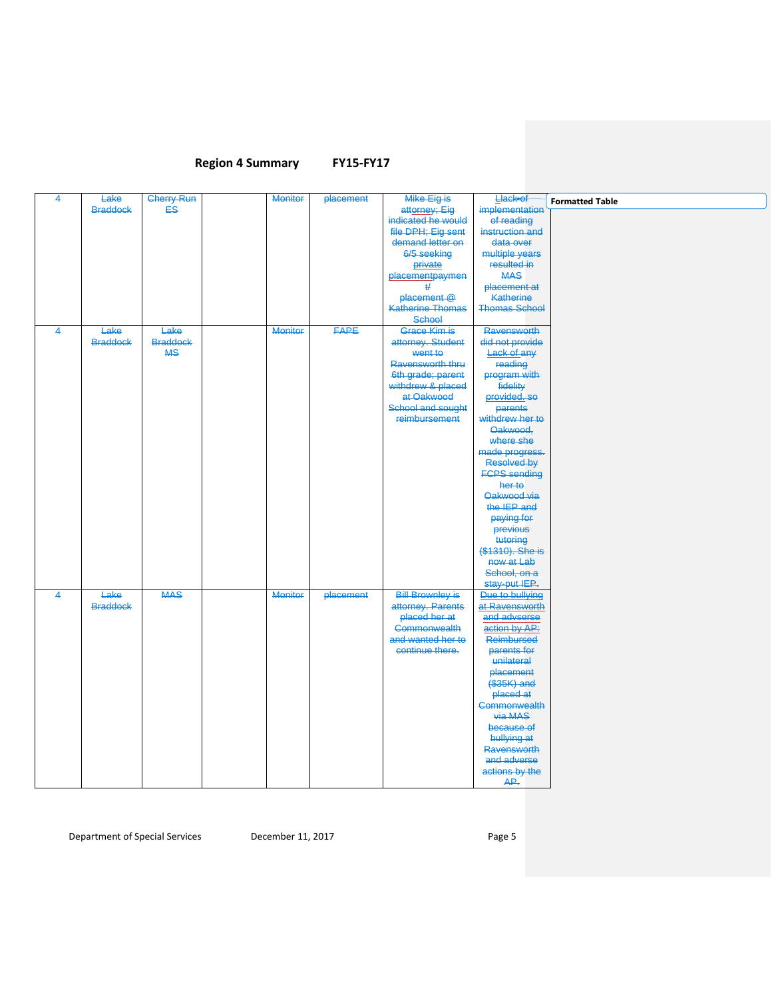| $\overline{4}$ | Lake            | <b>Cherry Run</b> | Monitor        | placement   | Mike Eig is                            | <b>Llackeof</b>                         | <b>Formatted Table</b> |
|----------------|-----------------|-------------------|----------------|-------------|----------------------------------------|-----------------------------------------|------------------------|
|                | <b>Braddock</b> | ES                |                |             | attorney; Eig                          | implementation                          |                        |
|                |                 |                   |                |             | indicated he would                     | of reading                              |                        |
|                |                 |                   |                |             | file DPH; Eig sent<br>demand letter on | instruction and<br>data over            |                        |
|                |                 |                   |                |             | 6/5 seeking                            | multiple years                          |                        |
|                |                 |                   |                |             | private                                | resulted in                             |                        |
|                |                 |                   |                |             | placementpaymen                        | <b>MAS</b>                              |                        |
|                |                 |                   |                |             | #                                      | placement at                            |                        |
|                |                 |                   |                |             | placement @                            | <b>Katherine</b>                        |                        |
|                |                 |                   |                |             | <b>Katherine Thomas</b>                | <b>Thomas School</b>                    |                        |
|                |                 |                   |                |             | <b>School</b>                          |                                         |                        |
| $\overline{4}$ | Lake            | Lake              | <b>Monitor</b> | <b>FAPE</b> | Grace Kim is                           | <b>Ravensworth</b>                      |                        |
|                | <b>Braddock</b> | <b>Braddock</b>   |                |             | attorney. Student                      | did not provide                         |                        |
|                |                 | <b>MS</b>         |                |             | went to                                | Lack of any                             |                        |
|                |                 |                   |                |             | Ravensworth thru                       | reading                                 |                        |
|                |                 |                   |                |             | 6th grade; parent                      | program with                            |                        |
|                |                 |                   |                |             | withdrew & placed                      | fidelity<br>provided. so                |                        |
|                |                 |                   |                |             | at Oakwood<br>School and sought        |                                         |                        |
|                |                 |                   |                |             | reimbursement                          | parents<br>withdrew her to              |                        |
|                |                 |                   |                |             |                                        | Oakwood,                                |                        |
|                |                 |                   |                |             |                                        | where she                               |                        |
|                |                 |                   |                |             |                                        | made progress.                          |                        |
|                |                 |                   |                |             |                                        | Resolved by                             |                        |
|                |                 |                   |                |             |                                        | <b>FCPS</b> sending                     |                        |
|                |                 |                   |                |             |                                        | her to                                  |                        |
|                |                 |                   |                |             |                                        | Oakwood via                             |                        |
|                |                 |                   |                |             |                                        | the IEP and                             |                        |
|                |                 |                   |                |             |                                        | paying for                              |                        |
|                |                 |                   |                |             |                                        | previous                                |                        |
|                |                 |                   |                |             |                                        | tutoring<br><del>(\$1310). She is</del> |                        |
|                |                 |                   |                |             |                                        | now at Lab                              |                        |
|                |                 |                   |                |             |                                        | School, on a                            |                        |
|                |                 |                   |                |             |                                        | stay-put IEP.                           |                        |
| $\overline{4}$ | Lake            | <b>MAS</b>        | <b>Monitor</b> | placement   | <b>Bill Brownley is</b>                | Due to bullying                         |                        |
|                | <b>Braddock</b> |                   |                |             | attorney. Parents                      | at Ravensworth                          |                        |
|                |                 |                   |                |             | placed her at                          | and advserse                            |                        |
|                |                 |                   |                |             | Commonwealth                           | action by AP:                           |                        |
|                |                 |                   |                |             | and wanted her to                      | <b>Reimbursed</b>                       |                        |
|                |                 |                   |                |             | continue there.                        | parents for                             |                        |
|                |                 |                   |                |             |                                        | unilateral                              |                        |
|                |                 |                   |                |             |                                        | placement                               |                        |
|                |                 |                   |                |             |                                        | (\$35K) and                             |                        |
|                |                 |                   |                |             |                                        | placed at                               |                        |
|                |                 |                   |                |             |                                        | Commonwealth<br>via MAS                 |                        |
|                |                 |                   |                |             |                                        | because of                              |                        |
|                |                 |                   |                |             |                                        | bullying at                             |                        |
|                |                 |                   |                |             |                                        | <b>Ravensworth</b>                      |                        |
|                |                 |                   |                |             |                                        | and adverse                             |                        |
|                |                 |                   |                |             |                                        | actions by the                          |                        |
|                |                 |                   |                |             |                                        | AP.                                     |                        |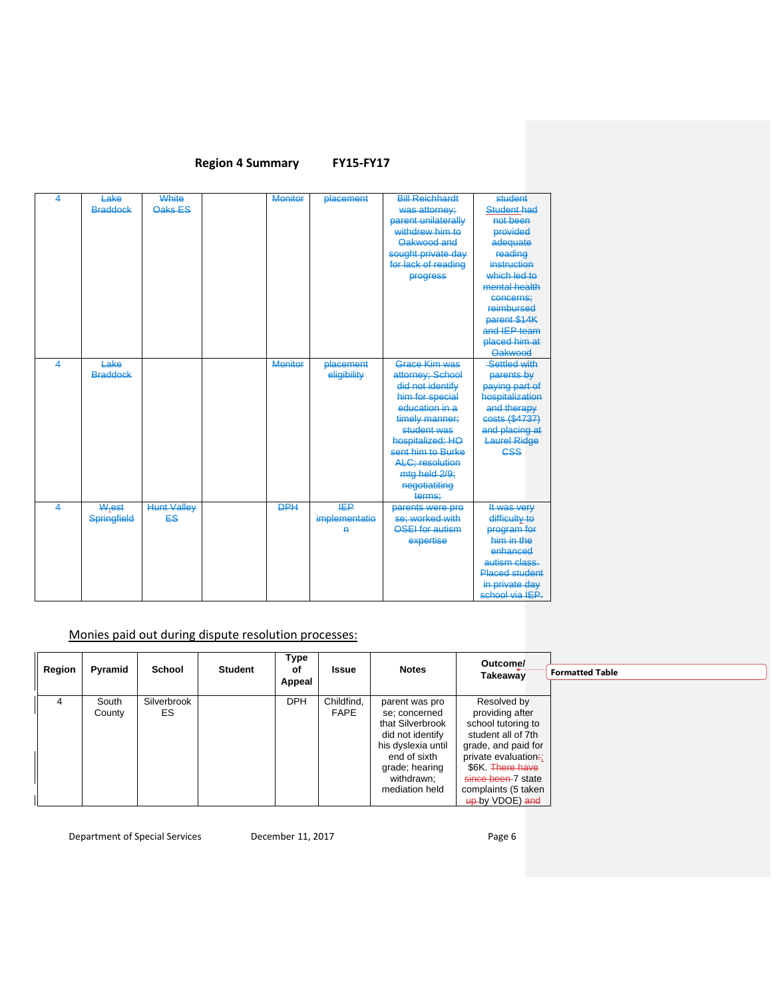| 4                       | Lake               | White              | <b>Monitor</b> | <b>placement</b> | <b>Bill Reichhardt</b>  | student               |
|-------------------------|--------------------|--------------------|----------------|------------------|-------------------------|-----------------------|
|                         | <b>Braddock</b>    | Oaks ES            |                |                  | was attorney:           | <b>Student had</b>    |
|                         |                    |                    |                |                  | parent unilaterally     | not been              |
|                         |                    |                    |                |                  | withdrew him to         | <b>provided</b>       |
|                         |                    |                    |                |                  | Oakwood and             | adequate              |
|                         |                    |                    |                |                  | sought private day      | reading               |
|                         |                    |                    |                |                  | for lack of reading     | instruction           |
|                         |                    |                    |                |                  | progress                | which led to          |
|                         |                    |                    |                |                  |                         | mental health         |
|                         |                    |                    |                |                  |                         | concerns:             |
|                         |                    |                    |                |                  |                         | reimbursed            |
|                         |                    |                    |                |                  |                         | parent \$14K          |
|                         |                    |                    |                |                  |                         | and IEP team          |
|                         |                    |                    |                |                  |                         | placed him at         |
|                         |                    |                    |                |                  |                         | <b>Oakwood</b>        |
| $\overline{\mathbf{A}}$ | Lake               |                    | <b>Monitor</b> | <b>placement</b> | Grace Kim was           | Settled with          |
|                         | <b>Braddock</b>    |                    |                | eligibility      | attorney; School        | parents by            |
|                         |                    |                    |                |                  | did not identify        | paying part of        |
|                         |                    |                    |                |                  | him for special         | hospitalization       |
|                         |                    |                    |                |                  | education in a          | and therapy           |
|                         |                    |                    |                |                  | timely manner:          | costs (\$4737)        |
|                         |                    |                    |                |                  | student was             | and placing at        |
|                         |                    |                    |                |                  | hospitalized; HO        | <b>Laurel Ridge</b>   |
|                         |                    |                    |                |                  | sent him to Burke       | <b>CSS</b>            |
|                         |                    |                    |                |                  | <b>ALC</b> ; resolution |                       |
|                         |                    |                    |                |                  | mtg held 2/9;           |                       |
|                         |                    |                    |                |                  | negotiatiting           |                       |
|                         |                    |                    |                |                  | terms:                  |                       |
| 4                       | W.est              | <b>Hunt Valley</b> | <b>DPH</b>     | <b>IEP</b>       | parents were pro        | It was very           |
|                         | <b>Springfield</b> | <b>ES</b>          |                | implementatio    | se; worked with         | difficulty to         |
|                         |                    |                    |                | $\overline{P}$   | <b>OSEL</b> for autism  | program for           |
|                         |                    |                    |                |                  | expertise               | him in the            |
|                         |                    |                    |                |                  |                         | enhanced              |
|                         |                    |                    |                |                  |                         | autism class.         |
|                         |                    |                    |                |                  |                         | <b>Placed student</b> |
|                         |                    |                    |                |                  |                         | in private day        |
|                         |                    |                    |                |                  |                         | school via IEP.       |

# Monies paid out during dispute resolution processes:

| Region | Pyramid         | School            | <b>Student</b> | Type<br>οf<br>Appeal | Issue                     | <b>Notes</b>                                                                                                                                                    | Outcome/<br><b>Takeaway</b>                                                                                                                                                                                  | <b>Formatted Table</b> |
|--------|-----------------|-------------------|----------------|----------------------|---------------------------|-----------------------------------------------------------------------------------------------------------------------------------------------------------------|--------------------------------------------------------------------------------------------------------------------------------------------------------------------------------------------------------------|------------------------|
| 4      | South<br>County | Silverbrook<br>ES |                | <b>DPH</b>           | Childfind,<br><b>FAPE</b> | parent was pro<br>se; concerned<br>that Silverbrook<br>did not identify<br>his dyslexia until<br>end of sixth<br>grade; hearing<br>withdrawn;<br>mediation held | Resolved by<br>providing after<br>school tutoring to<br>student all of 7th<br>grade, and paid for<br>private evaluation:<br>\$6K. There have<br>since been-7 state<br>complaints (5 taken<br>up-by VDOE) and |                        |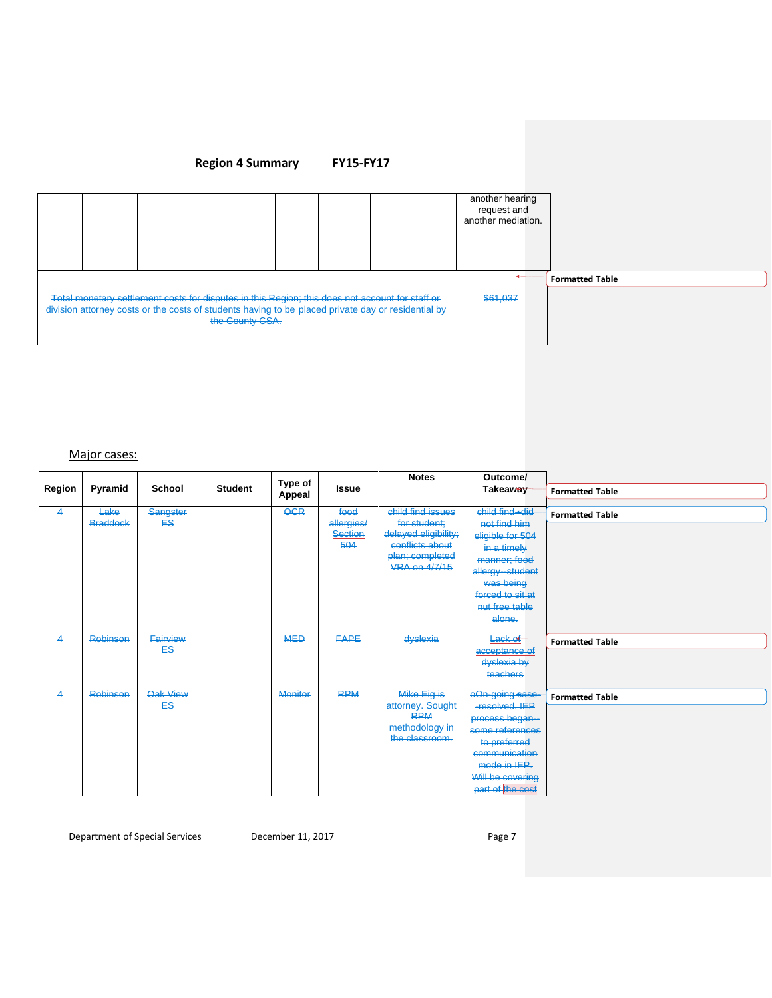

#### Major cases:

|        |                         |                            |                | Type of        |                                             | <b>Notes</b>                                                                                                            | Outcome/                                                                                                                                                          |                        |
|--------|-------------------------|----------------------------|----------------|----------------|---------------------------------------------|-------------------------------------------------------------------------------------------------------------------------|-------------------------------------------------------------------------------------------------------------------------------------------------------------------|------------------------|
| Region | Pyramid                 | School                     | <b>Student</b> | Appeal         | <b>Issue</b>                                |                                                                                                                         | Takeaway                                                                                                                                                          | <b>Formatted Table</b> |
| 4      | Lake<br><b>Braddock</b> | Sangster<br>ES.            |                | <b>OCR</b>     | food<br>allergies/<br><b>Section</b><br>504 | child find issues<br>for student:<br>delayed eligibility;<br>conflicts about<br>plan; completed<br><b>VRA on 4/7/15</b> | child find did<br>not find him<br>eligible for 504<br>in a timely<br>manner; food<br>allergy-student<br>was being<br>forced to sit at<br>nut free table<br>alone. | <b>Formatted Table</b> |
| 4      | <b>Robinson</b>         | Fairview<br><b>ES</b>      |                | <b>MED</b>     | <b>FAPE</b>                                 | dyslexia                                                                                                                | Lack of<br>acceptance of<br>dyslexia by<br>teachers                                                                                                               | <b>Formatted Table</b> |
| 4      | Robinson                | Oak View<br>ES <sub></sub> |                | <b>Monitor</b> | <b>RPM</b>                                  | Mike Eig is<br>attorney. Sought<br><b>RPM</b><br>methodology in<br>the classroom.                                       | eOn-going case-<br>-resolved, IEP<br>process began-<br>some references<br>to preferred<br>communication<br>mode in IEP.<br>Will be covering<br>part of the cost   | <b>Formatted Table</b> |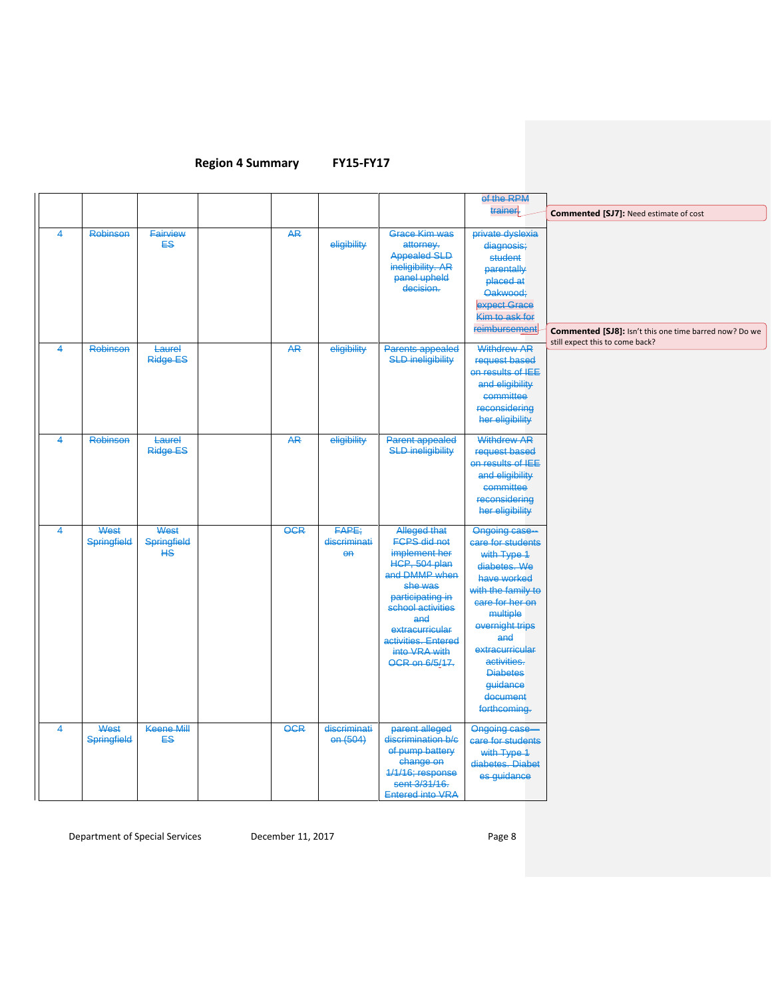# **Region 4 Summary**

|                         |                            |                           |            |                                         |                                                                                                                                                                                                                                | of the RPM                                                                                                                                                                                                                                                   |                                                                                           |
|-------------------------|----------------------------|---------------------------|------------|-----------------------------------------|--------------------------------------------------------------------------------------------------------------------------------------------------------------------------------------------------------------------------------|--------------------------------------------------------------------------------------------------------------------------------------------------------------------------------------------------------------------------------------------------------------|-------------------------------------------------------------------------------------------|
|                         |                            |                           |            |                                         |                                                                                                                                                                                                                                | trainer.                                                                                                                                                                                                                                                     | <b>Commented [SJ7]: Need estimate of cost</b>                                             |
| $\overline{4}$          | <b>Robinson</b>            | Fairview<br><b>ES</b>     | <b>AR</b>  | eligibility                             | <b>Grace Kim was</b><br>attorney.<br><b>Appealed SLD</b><br>ineligibility. AR<br>panel upheld<br>decision.                                                                                                                     | private dyslexia<br>diagnosis;<br>student<br>parentally<br>placed at<br>Oakwood;<br>expect Grace<br>Kim to ask for<br>reimbursement                                                                                                                          | Commented [SJ8]: Isn't this one time barred now? Do we<br>still expect this to come back? |
| $\overline{4}$          | <b>Robinson</b>            | Laurel<br>Ridge ES        | <b>AR</b>  | eligibility                             | Parents appealed<br><b>SLD ineligibility</b>                                                                                                                                                                                   | <b>Withdrew AR</b><br>request based<br>on results of IEE<br>and eligibility<br>committee<br>reconsidering<br>her eligibility                                                                                                                                 |                                                                                           |
| $\overline{\mathbf{4}}$ | Robinson                   | Laurel<br><b>Ridge ES</b> | <b>AR</b>  | eligibility                             | Parent appealed<br><b>SLD ineligibility</b>                                                                                                                                                                                    | <b>Withdrew AR</b><br>request based<br>on results of <b>IEE</b><br>and eligibility<br>committee<br>reconsidering<br>her eligibility                                                                                                                          |                                                                                           |
| $\overline{\mathbf{4}}$ | West<br><b>Springfield</b> | West<br>Springfield<br>HS | <b>OCR</b> | FAPE;<br>discriminati<br>$\overline{a}$ | Alleged that<br><b>FCPS</b> did not<br>implement her<br>HCP, 504 plan<br>and DMMP when<br>she was<br>participating in<br>school activities<br>and<br>extracurricular<br>activities. Entered<br>into VRA with<br>OCR on 6/5/17. | Ongoing case-<br>care for students<br>with Type 1<br>diabetes. We<br>have worked<br>with the family to<br>care for her on<br>multiple<br>overnight trips<br>and<br>extracurricular<br>activities.<br><b>Diabetes</b><br>guidance<br>document<br>forthcoming. |                                                                                           |
| $\overline{4}$          | West<br>Springfield        | Keene Mill<br><b>ES</b>   | <b>OCR</b> | discriminati<br>en (504)                | parent alleged<br>discrimination b/c<br>of pump battery<br>change on<br>1/1/16; response<br>sent 3/31/16.<br><b>Entered into VRA</b>                                                                                           | Ongoing case-<br>care for students<br>with Type 1<br>diabetes. Diabet<br>es guidance                                                                                                                                                                         |                                                                                           |